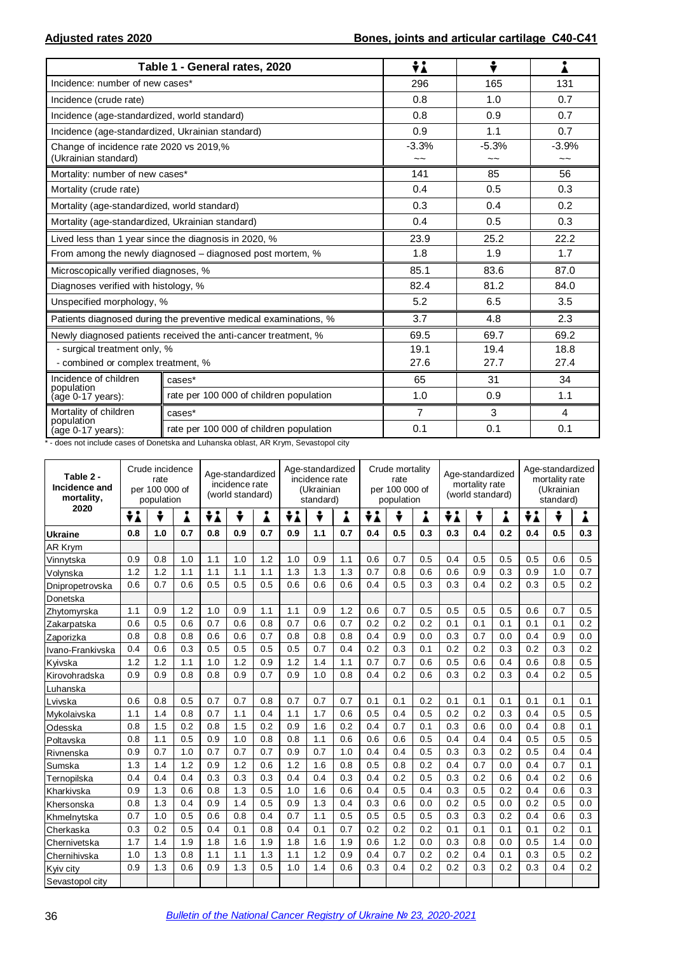|                                                                 | Table 1 - General rates, 2020                                    | ÷i             | ÷             | Â                                    |
|-----------------------------------------------------------------|------------------------------------------------------------------|----------------|---------------|--------------------------------------|
| Incidence: number of new cases*                                 |                                                                  | 296            | 165           | 131                                  |
| Incidence (crude rate)                                          |                                                                  | 0.8            | 1.0           | 0.7                                  |
| Incidence (age-standardized, world standard)                    |                                                                  | 0.8            | 0.9           | 0.7                                  |
| Incidence (age-standardized, Ukrainian standard)                |                                                                  | 0.9            | 1.1           | 0.7                                  |
| Change of incidence rate 2020 vs 2019,%<br>(Ukrainian standard) |                                                                  | $-3.3%$<br>~~  | $-5.3%$<br>~~ | $-3.9%$<br>$\widetilde{\phantom{a}}$ |
| Mortality: number of new cases*                                 |                                                                  | 141            | 85            | 56                                   |
| Mortality (crude rate)                                          |                                                                  | 0.4            | 0.5           | 0.3                                  |
| Mortality (age-standardized, world standard)                    |                                                                  | 0.3            | 0.4           | 0.2                                  |
| Mortality (age-standardized, Ukrainian standard)                |                                                                  | 0.4            | 0.5           | 0.3                                  |
|                                                                 | Lived less than 1 year since the diagnosis in 2020, %            | 23.9           | 25.2          | 22.2                                 |
|                                                                 | From among the newly diagnosed – diagnosed post mortem, %        | 1.8            | 1.9           | 1.7                                  |
| Microscopically verified diagnoses, %                           |                                                                  | 85.1           | 83.6          | 87.0                                 |
| Diagnoses verified with histology, %                            |                                                                  | 82.4           | 81.2          | 84.0                                 |
| Unspecified morphology, %                                       |                                                                  | 5.2            | 6.5           | 3.5                                  |
|                                                                 | Patients diagnosed during the preventive medical examinations, % | 3.7            | 4.8           | 2.3                                  |
|                                                                 | Newly diagnosed patients received the anti-cancer treatment, %   | 69.5           | 69.7          | 69.2                                 |
| - surgical treatment only, %                                    |                                                                  | 19.1           | 19.4          | 18.8                                 |
| - combined or complex treatment, %                              |                                                                  | 27.6           | 27.7          | 27.4                                 |
| Incidence of children<br>population                             | cases*                                                           | 65             | 31            | 34                                   |
| (age 0-17 years):                                               | rate per 100 000 of children population                          | 1.0            | 0.9           | 1.1                                  |
| Mortality of children                                           | cases*                                                           | $\overline{7}$ | 3             | 4                                    |
| population<br>(age 0-17 years):                                 | rate per 100 000 of children population                          | 0.1            | 0.1           | 0.1                                  |

\* - does not include cases of Donetska and Luhanska oblast, AR Krym, Sevastopol city

| Table 2 -<br>Incidence and<br>mortality, |     | Crude incidence<br>rate<br>per 100 000 of<br>population |     | Age-standardized<br>incidence rate<br>(world standard) |     |     | Age-standardized<br>incidence rate<br>(Ukrainian<br>standard) |     |     | Crude mortality<br>rate<br>per 100 000 of<br>population |     |     | Age-standardized<br>mortality rate<br>(world standard) |     |     | Age-standardized<br>mortality rate<br>(Ukrainian<br>standard) |     |     |
|------------------------------------------|-----|---------------------------------------------------------|-----|--------------------------------------------------------|-----|-----|---------------------------------------------------------------|-----|-----|---------------------------------------------------------|-----|-----|--------------------------------------------------------|-----|-----|---------------------------------------------------------------|-----|-----|
| 2020                                     | ÷i  | ÷                                                       | i   | ÷i                                                     | ÷   | Å   | ÷i                                                            | ÷   | Å   | ÷i                                                      | ÷   | Å   | ÷i<br>÷                                                |     | Å   | ÷i                                                            | ÷   | Å   |
| <b>Ukraine</b>                           | 0.8 | 1.0                                                     | 0.7 | 0.8                                                    | 0.9 | 0.7 | 0.9                                                           | 1.1 | 0.7 | 0.4                                                     | 0.5 | 0.3 | 0.3                                                    | 0.4 | 0.2 | 0.4                                                           | 0.5 | 0.3 |
| AR Krym                                  |     |                                                         |     |                                                        |     |     |                                                               |     |     |                                                         |     |     |                                                        |     |     |                                                               |     |     |
| Vinnytska                                | 0.9 | 0.8                                                     | 1.0 | 1.1                                                    | 1.0 | 1.2 | 1.0                                                           | 0.9 | 1.1 | 0.6                                                     | 0.7 | 0.5 | 0.4                                                    | 0.5 | 0.5 | 0.5                                                           | 0.6 | 0.5 |
| Volynska                                 | 1.2 | 1.2                                                     | 1.1 | 1.1                                                    | 1.1 | 1.1 | 1.3                                                           | 1.3 | 1.3 | 0.7                                                     | 0.8 | 0.6 | 0.6                                                    | 0.9 | 0.3 | 0.9                                                           | 1.0 | 0.7 |
| Dnipropetrovska                          | 0.6 | 0.7                                                     | 0.6 | 0.5                                                    | 0.5 | 0.5 | 0.6                                                           | 0.6 | 0.6 | 0.4                                                     | 0.5 | 0.3 | 0.3                                                    | 0.4 | 0.2 | 0.3                                                           | 0.5 | 0.2 |
| Donetska                                 |     |                                                         |     |                                                        |     |     |                                                               |     |     |                                                         |     |     |                                                        |     |     |                                                               |     |     |
| Zhytomyrska                              | 1.1 | 0.9                                                     | 1.2 | 1.0                                                    | 0.9 | 1.1 | 1.1                                                           | 0.9 | 1.2 | 0.6                                                     | 0.7 | 0.5 | 0.5                                                    | 0.5 | 0.5 | 0.6                                                           | 0.7 | 0.5 |
| Zakarpatska                              | 0.6 | 0.5                                                     | 0.6 | 0.7                                                    | 0.6 | 0.8 | 0.7                                                           | 0.6 | 0.7 | 0.2                                                     | 0.2 | 0.2 | 0.1                                                    | 0.1 | 0.1 | 0.1                                                           | 0.1 | 0.2 |
| Zaporizka                                | 0.8 | 0.8                                                     | 0.8 | 0.6                                                    | 0.6 | 0.7 | 0.8                                                           | 0.8 | 0.8 | 0.4                                                     | 0.9 | 0.0 | 0.3                                                    | 0.7 | 0.0 | 0.4                                                           | 0.9 | 0.0 |
| Ivano-Frankivska                         | 0.4 | 0.6                                                     | 0.3 | 0.5                                                    | 0.5 | 0.5 | 0.5                                                           | 0.7 | 0.4 | 0.2                                                     | 0.3 | 0.1 | 0.2                                                    | 0.2 | 0.3 | 0.2                                                           | 0.3 | 0.2 |
| Kyivska                                  | 1.2 | 1.2                                                     | 1.1 | 1.0                                                    | 1.2 | 0.9 | 1.2                                                           | 1.4 | 1.1 | 0.7                                                     | 0.7 | 0.6 | 0.5                                                    | 0.6 | 0.4 | 0.6                                                           | 0.8 | 0.5 |
| Kirovohradska                            | 0.9 | 0.9                                                     | 0.8 | 0.8                                                    | 0.9 | 0.7 | 0.9                                                           | 1.0 | 0.8 | 0.4                                                     | 0.2 | 0.6 | 0.3                                                    | 0.2 | 0.3 | 0.4                                                           | 0.2 | 0.5 |
| Luhanska                                 |     |                                                         |     |                                                        |     |     |                                                               |     |     |                                                         |     |     |                                                        |     |     |                                                               |     |     |
| Lvivska                                  | 0.6 | 0.8                                                     | 0.5 | 0.7                                                    | 0.7 | 0.8 | 0.7                                                           | 0.7 | 0.7 | 0.1                                                     | 0.1 | 0.2 | 0.1                                                    | 0.1 | 0.1 | 0.1                                                           | 0.1 | 0.1 |
| Mykolaivska                              | 1.1 | 1.4                                                     | 0.8 | 0.7                                                    | 1.1 | 0.4 | 1.1                                                           | 1.7 | 0.6 | 0.5                                                     | 0.4 | 0.5 | 0.2                                                    | 0.2 | 0.3 | 0.4                                                           | 0.5 | 0.5 |
| Odesska                                  | 0.8 | 1.5                                                     | 0.2 | 0.8                                                    | 1.5 | 0.2 | 0.9                                                           | 1.6 | 0.2 | 0.4                                                     | 0.7 | 0.1 | 0.3                                                    | 0.6 | 0.0 | 0.4                                                           | 0.8 | 0.1 |
| Poltavska                                | 0.8 | 1.1                                                     | 0.5 | 0.9                                                    | 1.0 | 0.8 | 0.8                                                           | 1.1 | 0.6 | 0.6                                                     | 0.6 | 0.5 | 0.4                                                    | 0.4 | 0.4 | 0.5                                                           | 0.5 | 0.5 |
| Rivnenska                                | 0.9 | 0.7                                                     | 1.0 | 0.7                                                    | 0.7 | 0.7 | 0.9                                                           | 0.7 | 1.0 | 0.4                                                     | 0.4 | 0.5 | 0.3                                                    | 0.3 | 0.2 | 0.5                                                           | 0.4 | 0.4 |
| Sumska                                   | 1.3 | 1.4                                                     | 1.2 | 0.9                                                    | 1.2 | 0.6 | 1.2                                                           | 1.6 | 0.8 | 0.5                                                     | 0.8 | 0.2 | 0.4                                                    | 0.7 | 0.0 | 0.4                                                           | 0.7 | 0.1 |
| Ternopilska                              | 0.4 | 0.4                                                     | 0.4 | 0.3                                                    | 0.3 | 0.3 | 0.4                                                           | 0.4 | 0.3 | 0.4                                                     | 0.2 | 0.5 | 0.3                                                    | 0.2 | 0.6 | 0.4                                                           | 0.2 | 0.6 |
| Kharkivska                               | 0.9 | 1.3                                                     | 0.6 | 0.8                                                    | 1.3 | 0.5 | 1.0                                                           | 1.6 | 0.6 | 0.4                                                     | 0.5 | 0.4 | 0.3                                                    | 0.5 | 0.2 | 0.4                                                           | 0.6 | 0.3 |
| Khersonska                               | 0.8 | 1.3                                                     | 0.4 | 0.9                                                    | 1.4 | 0.5 | 0.9                                                           | 1.3 | 0.4 | 0.3                                                     | 0.6 | 0.0 | 0.2                                                    | 0.5 | 0.0 | 0.2                                                           | 0.5 | 0.0 |
| Khmelnytska                              | 0.7 | 1.0                                                     | 0.5 | 0.6                                                    | 0.8 | 0.4 | 0.7                                                           | 1.1 | 0.5 | 0.5                                                     | 0.5 | 0.5 | 0.3                                                    | 0.3 | 0.2 | 0.4                                                           | 0.6 | 0.3 |
| Cherkaska                                | 0.3 | 0.2                                                     | 0.5 | 0.4                                                    | 0.1 | 0.8 | 0.4                                                           | 0.1 | 0.7 | 0.2                                                     | 0.2 | 0.2 | 0.1                                                    | 0.1 | 0.1 | 0.1                                                           | 0.2 | 0.1 |
| Chernivetska                             | 1.7 | 1.4                                                     | 1.9 | 1.8                                                    | 1.6 | 1.9 | 1.8                                                           | 1.6 | 1.9 | 0.6                                                     | 1.2 | 0.0 | 0.3                                                    | 0.8 | 0.0 | 0.5                                                           | 1.4 | 0.0 |
| Chernihivska                             | 1.0 | 1.3                                                     | 0.8 | 1.1                                                    | 1.1 | 1.3 | 1.1                                                           | 1.2 | 0.9 | 0.4                                                     | 0.7 | 0.2 | 0.2                                                    | 0.4 | 0.1 | 0.3                                                           | 0.5 | 0.2 |
| Kyiv city                                | 0.9 | 1.3                                                     | 0.6 | 0.9                                                    | 1.3 | 0.5 | 1.0                                                           | 1.4 | 0.6 | 0.3                                                     | 0.4 | 0.2 | 0.2                                                    | 0.3 | 0.2 | 0.3                                                           | 0.4 | 0.2 |
| Sevastopol city                          |     |                                                         |     |                                                        |     |     |                                                               |     |     |                                                         |     |     |                                                        |     |     |                                                               |     |     |